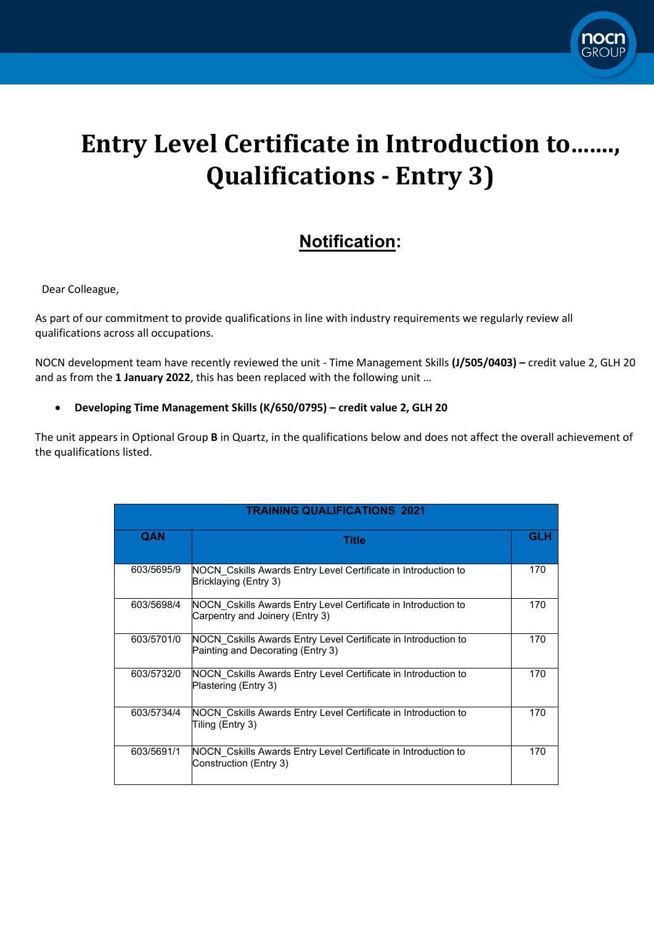

## **Entry Level Certificate in Introduction to……., Qualifications - Entry 3)**

## **Notification:**

Dear Colleague,

As part of our commitment to provide qualifications in line with industry requirements we regularly review all qualifications across all occupations.

NOCN development team have recently reviewed the unit - Time Management Skills **(J/505/0403) –** credit value 2, GLH 20 and as from the **1 January 2022**, this has been replaced with the following unit …

## • **Developing Time Management Skills (K/650/0795) – credit value 2, GLH 20**

The unit appears in Optional Group **B** in Quartz, in the qualifications below and does not affect the overall achievement of the qualifications listed.

| <b>TRAINING QUALIFICATIONS 2021</b> |                                                                                                     |            |
|-------------------------------------|-----------------------------------------------------------------------------------------------------|------------|
| QAN                                 | Title                                                                                               | <b>GLH</b> |
| 603/5695/9                          | NOCN Cskills Awards Entry Level Certificate in Introduction to<br>Bricklaying (Entry 3)             | 170        |
| 603/5698/4                          | NOCN Cskills Awards Entry Level Certificate in Introduction to<br>Carpentry and Joinery (Entry 3)   | 170        |
| 603/5701/0                          | NOCN Cskills Awards Entry Level Certificate in Introduction to<br>Painting and Decorating (Entry 3) | 170        |
| 603/5732/0                          | NOCN Cskills Awards Entry Level Certificate in Introduction to<br>Plastering (Entry 3)              | 170        |
| 603/5734/4                          | NOCN Cskills Awards Entry Level Certificate in Introduction to<br>Tiling (Entry 3)                  | 170        |
| 603/5691/1                          | NOCN Cskills Awards Entry Level Certificate in Introduction to<br>Construction (Entry 3)            | 170        |